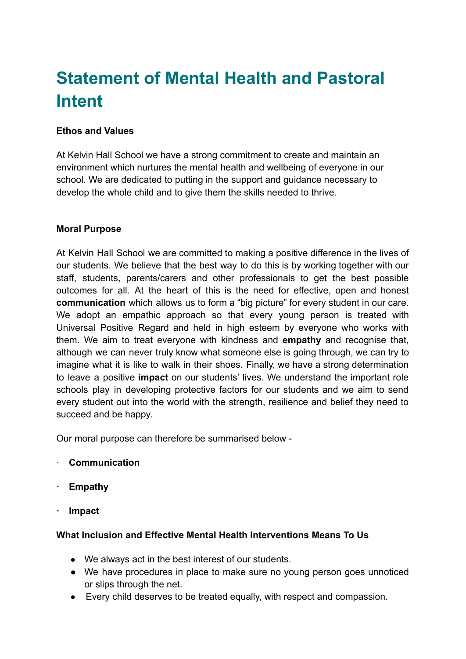# **Statement of Mental Health and Pastoral Intent**

### **Ethos and Values**

At Kelvin Hall School we have a strong commitment to create and maintain an environment which nurtures the mental health and wellbeing of everyone in our school. We are dedicated to putting in the support and guidance necessary to develop the whole child and to give them the skills needed to thrive.

#### **Moral Purpose**

At Kelvin Hall School we are committed to making a positive difference in the lives of our students. We believe that the best way to do this is by working together with our staff, students, parents/carers and other professionals to get the best possible outcomes for all. At the heart of this is the need for effective, open and honest **communication** which allows us to form a "big picture" for every student in our care. We adopt an empathic approach so that every young person is treated with Universal Positive Regard and held in high esteem by everyone who works with them. We aim to treat everyone with kindness and **empathy** and recognise that, although we can never truly know what someone else is going through, we can try to imagine what it is like to walk in their shoes. Finally, we have a strong determination to leave a positive **impact** on our students' lives. We understand the important role schools play in developing protective factors for our students and we aim to send every student out into the world with the strength, resilience and belief they need to succeed and be happy.

Our moral purpose can therefore be summarised below -

- · **Communication**
- **· Empathy**
- **· Impact**

#### **What Inclusion and Effective Mental Health Interventions Means To Us**

- We always act in the best interest of our students.
- We have procedures in place to make sure no young person goes unnoticed or slips through the net.
- Every child deserves to be treated equally, with respect and compassion.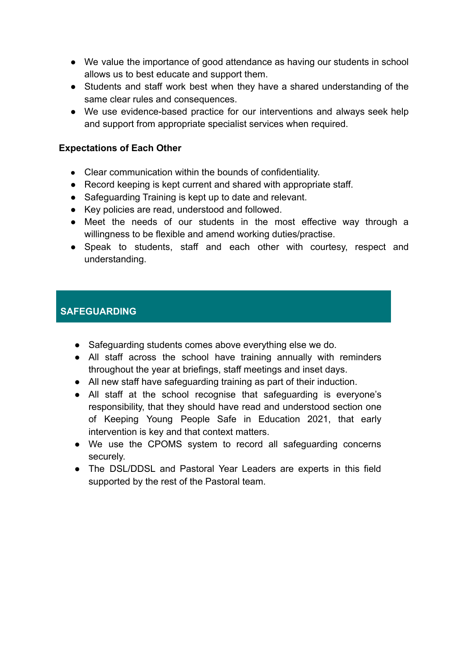- We value the importance of good attendance as having our students in school allows us to best educate and support them.
- Students and staff work best when they have a shared understanding of the same clear rules and consequences.
- We use evidence-based practice for our interventions and always seek help and support from appropriate specialist services when required.

#### **Expectations of Each Other**

- Clear communication within the bounds of confidentiality.
- Record keeping is kept current and shared with appropriate staff.
- Safeguarding Training is kept up to date and relevant.
- Key policies are read, understood and followed.
- Meet the needs of our students in the most effective way through a willingness to be flexible and amend working duties/practise.
- Speak to students, staff and each other with courtesy, respect and understanding.

## **SAFEGUARDING**

- Safeguarding students comes above everything else we do.
- All staff across the school have training annually with reminders throughout the year at briefings, staff meetings and inset days.
- All new staff have safeguarding training as part of their induction.
- All staff at the school recognise that safeguarding is everyone's responsibility, that they should have read and understood section one of Keeping Young People Safe in Education 2021, that early intervention is key and that context matters.
- We use the CPOMS system to record all safeguarding concerns securely.
- The DSL/DDSL and Pastoral Year Leaders are experts in this field supported by the rest of the Pastoral team.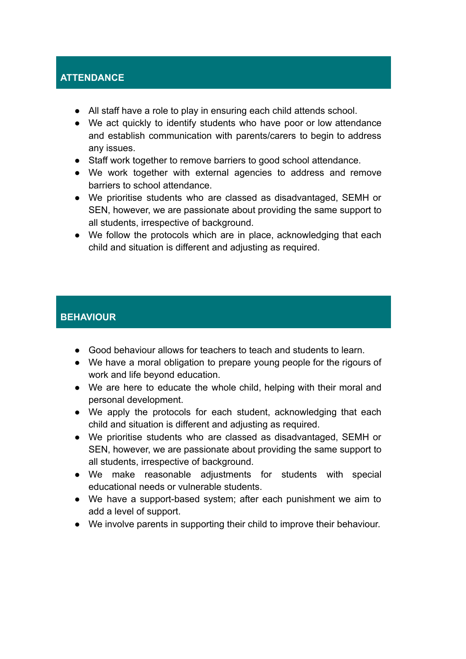## **ATTENDANCE**

- All staff have a role to play in ensuring each child attends school.
- We act quickly to identify students who have poor or low attendance and establish communication with parents/carers to begin to address any issues.
- Staff work together to remove barriers to good school attendance.
- We work together with external agencies to address and remove barriers to school attendance.
- We prioritise students who are classed as disadvantaged, SEMH or SEN, however, we are passionate about providing the same support to all students, irrespective of background.
- We follow the protocols which are in place, acknowledging that each child and situation is different and adjusting as required.

## **BEHAVIOUR**

- Good behaviour allows for teachers to teach and students to learn.
- We have a moral obligation to prepare young people for the rigours of work and life beyond education.
- We are here to educate the whole child, helping with their moral and personal development.
- We apply the protocols for each student, acknowledging that each child and situation is different and adjusting as required.
- We prioritise students who are classed as disadvantaged, SEMH or SEN, however, we are passionate about providing the same support to all students, irrespective of background.
- We make reasonable adjustments for students with special educational needs or vulnerable students.
- We have a support-based system; after each punishment we aim to add a level of support.
- We involve parents in supporting their child to improve their behaviour.